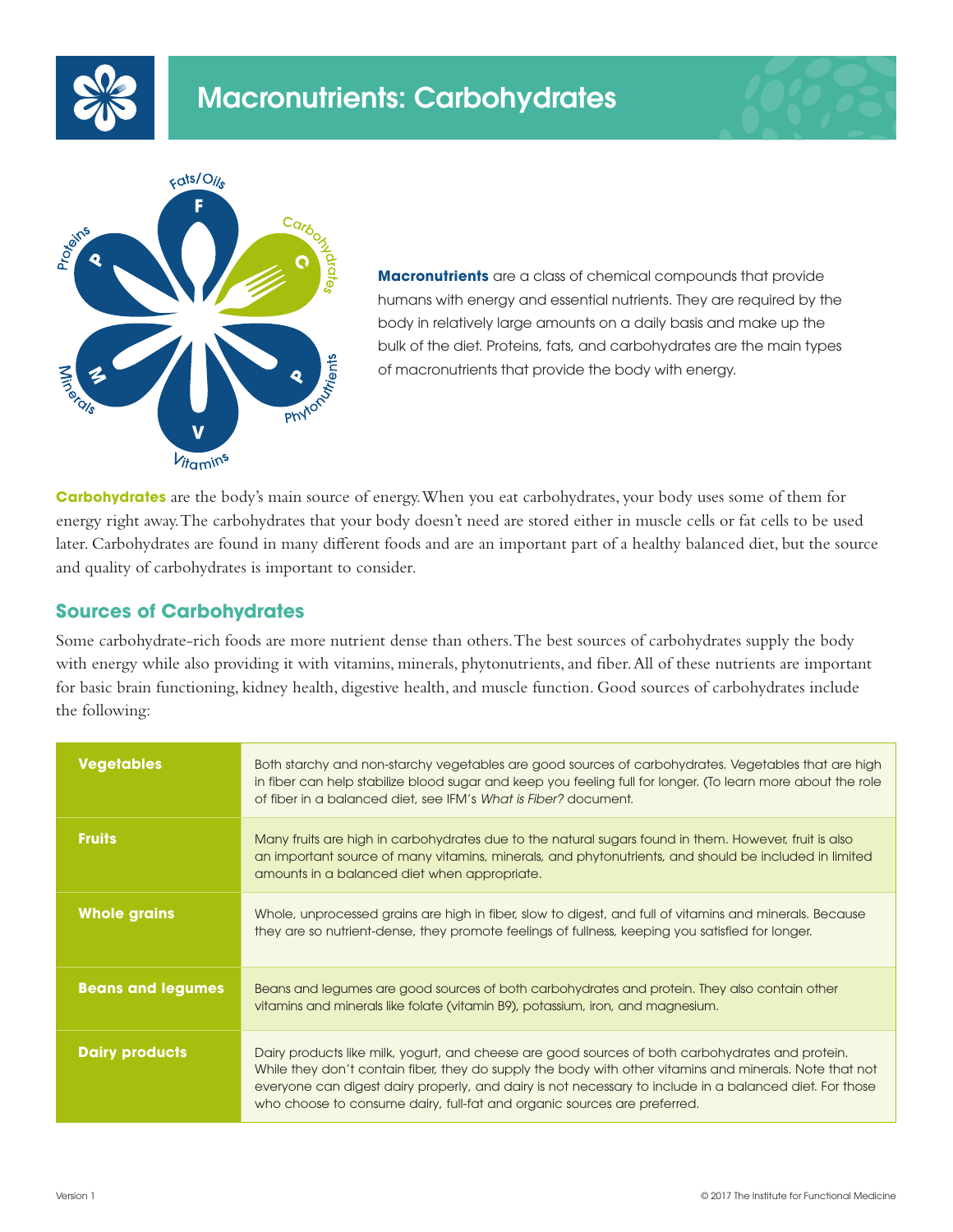





**Macronutrients** are a class of chemical compounds that provide humans with energy and essential nutrients. They are required by the body in relatively large amounts on a daily basis and make up the bulk of the diet. Proteins, fats, and carbohydrates are the main types of macronutrients that provide the body with energy.

**Carbohydrates** are the body's main source of energy. When you eat carbohydrates, your body uses some of them for energy right away. The carbohydrates that your body doesn't need are stored either in muscle cells or fat cells to be used later. Carbohydrates are found in many different foods and are an important part of a healthy balanced diet, but the source and quality of carbohydrates is important to consider.

## **Sources of Carbohydrates**

Some carbohydrate-rich foods are more nutrient dense than others. The best sources of carbohydrates supply the body with energy while also providing it with vitamins, minerals, phytonutrients, and fiber. All of these nutrients are important for basic brain functioning, kidney health, digestive health, and muscle function. Good sources of carbohydrates include the following:

| <b>Vegetables</b>        | Both starchy and non-starchy vegetables are good sources of carbohydrates. Vegetables that are high<br>in fiber can help stabilize blood sugar and keep you feeling full for longer. (To learn more about the role<br>of fiber in a balanced diet, see IFM's What is Fiber? document.                                                                                                              |
|--------------------------|----------------------------------------------------------------------------------------------------------------------------------------------------------------------------------------------------------------------------------------------------------------------------------------------------------------------------------------------------------------------------------------------------|
| <b>Fruits</b>            | Many fruits are high in carbohydrates due to the natural sugars found in them. However, fruit is also<br>an important source of many vitamins, minerals, and phytonutrients, and should be included in limited<br>amounts in a balanced diet when appropriate.                                                                                                                                     |
| <b>Whole grains</b>      | Whole, unprocessed grains are high in fiber, slow to digest, and full of vitamins and minerals. Because<br>they are so nutrient-dense, they promote feelings of fullness, keeping you satisfied for longer.                                                                                                                                                                                        |
| <b>Beans and legumes</b> | Beans and legumes are good sources of both carbohydrates and protein. They also contain other<br>vitamins and minerals like folate (vitamin B9), potassium, iron, and magnesium.                                                                                                                                                                                                                   |
| <b>Dairy products</b>    | Dairy products like milk, yogurt, and cheese are good sources of both carbohydrates and protein.<br>While they don't contain fiber, they do supply the body with other vitamins and minerals. Note that not<br>everyone can digest dairy properly, and dairy is not necessary to include in a balanced diet. For those<br>who choose to consume dairy, full-fat and organic sources are preferred. |